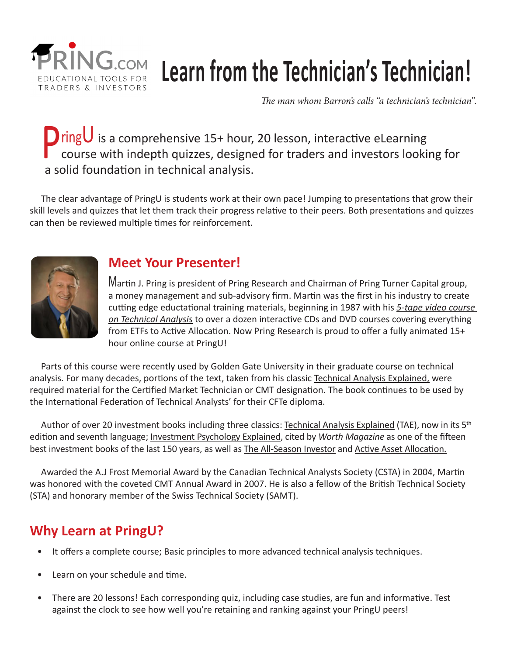

# **Learn from the Technician's Technician!**

*The man whom Barron's calls "a technician's technician".*

# **D** ring∪ is a comprehensive 15+ hour, 20 lesson, interactive eLearning course with indepth quizzes, designed for traders and investors looking for a solid foundation in technical analysis.

 The clear advantage of PringU is students work at their own pace! Jumping to presentations that grow their skill levels and quizzes that let them track their progress relative to their peers. Both presentations and quizzes can then be reviewed multiple times for reinforcement.



# **Meet Your Presenter!**

Martin J. Pring is president of Pring Research and Chairman of Pring Turner Capital group, a money management and sub-advisory firm. Martin was the first in his industry to create cutting edge eductational training materials, beginning in 1987 with his *5-tape video course on Technical Analysis* to over a dozen interactive CDs and DVD courses covering everything from ETFs to Active Allocation. Now Pring Research is proud to offer a fully animated 15+ hour online course at PringU!

 Parts of this course were recently used by Golden Gate University in their graduate course on technical analysis. For many decades, portions of the text, taken from his classic Technical Analysis Explained, were required material for the Certified Market Technician or CMT designation. The book continues to be used by the International Federation of Technical Analysts' for their CFTe diploma.

Author of over 20 investment books including three classics: Technical Analysis Explained (TAE), now in its 5<sup>th</sup> edition and seventh language; Investment Psychology Explained, cited by *Worth Magazine* as one of the fifteen best investment books of the last 150 years, as well as The All-Season Investor and Active Asset Allocation.

 Awarded the A.J Frost Memorial Award by the Canadian Technical Analysts Society (CSTA) in 2004, Martin was honored with the coveted CMT Annual Award in 2007. He is also a fellow of the British Technical Society (STA) and honorary member of the Swiss Technical Society (SAMT).

# **Why Learn at PringU?**

- It offers a complete course; Basic principles to more advanced technical analysis techniques.
- Learn on your schedule and time.
- There are 20 lessons! Each corresponding quiz, including case studies, are fun and informative. Test against the clock to see how well you're retaining and ranking against your PringU peers!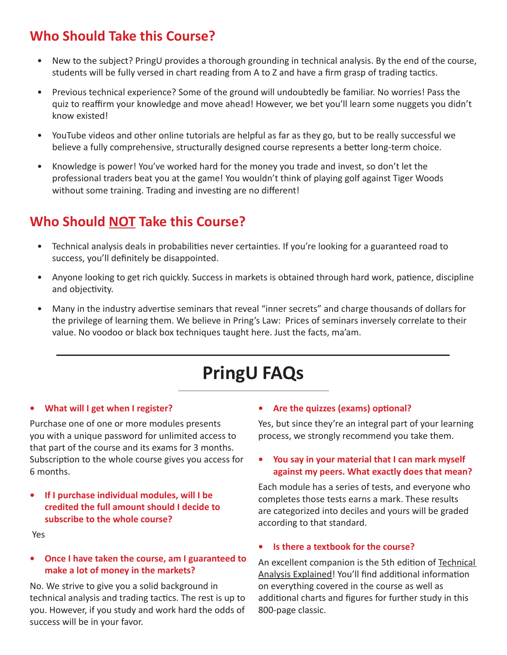# **Who Should Take this Course?**

- New to the subject? PringU provides a thorough grounding in technical analysis. By the end of the course, students will be fully versed in chart reading from A to Z and have a firm grasp of trading tactics.
- Previous technical experience? Some of the ground will undoubtedly be familiar. No worries! Pass the quiz to reaffirm your knowledge and move ahead! However, we bet you'll learn some nuggets you didn't know existed!
- YouTube videos and other online tutorials are helpful as far as they go, but to be really successful we believe a fully comprehensive, structurally designed course represents a better long-term choice.
- Knowledge is power! You've worked hard for the money you trade and invest, so don't let the professional traders beat you at the game! You wouldn't think of playing golf against Tiger Woods without some training. Trading and investing are no different!

# **Who Should NOT Take this Course?**

- Technical analysis deals in probabilities never certainties. If you're looking for a guaranteed road to success, you'll definitely be disappointed.
- Anyone looking to get rich quickly. Success in markets is obtained through hard work, patience, discipline and objectivity.
- Many in the industry advertise seminars that reveal "inner secrets" and charge thousands of dollars for the privilege of learning them. We believe in Pring's Law: Prices of seminars inversely correlate to their value. No voodoo or black box techniques taught here. Just the facts, ma'am.

# **PringU FAQs**

#### **• What will I get when I register?**

Purchase one of one or more modules presents you with a unique password for unlimited access to that part of the course and its exams for 3 months. Subscription to the whole course gives you access for 6 months.

**• If I purchase individual modules, will I be credited the full amount should I decide to subscribe to the whole course?**

Yes

#### **• Once I have taken the course, am I guaranteed to make a lot of money in the markets?**

No. We strive to give you a solid background in technical analysis and trading tactics. The rest is up to you. However, if you study and work hard the odds of success will be in your favor.

#### **• Are the quizzes (exams) optional?**

Yes, but since they're an integral part of your learning process, we strongly recommend you take them.

#### **• You say in your material that I can mark myself against my peers. What exactly does that mean?**

Each module has a series of tests, and everyone who completes those tests earns a mark. These results are categorized into deciles and yours will be graded according to that standard.

#### **• Is there a textbook for the course?**

An excellent companion is the 5th edition of Technical Analysis Explained! You'll find additional information on everything covered in the course as well as additional charts and figures for further study in this 800-page classic.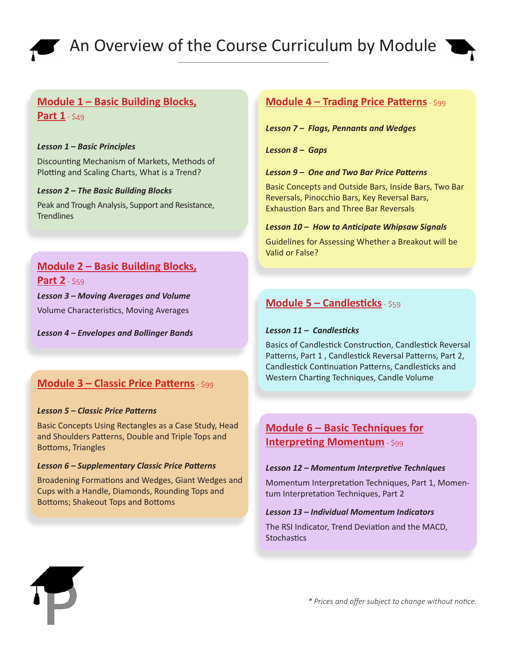



#### **Module 1 – Basic Building Blocks, Part 1** - \$49

#### *Lesson 1 – Basic Principles*

Discounting Mechanism of Markets, Methods of Plotting and Scaling Charts, What is a Trend?

#### *Lesson 2 – The Basic Building Blocks*

Peak and Trough Analysis, Support and Resistance, **Trendlines** 

# **Module 2 – Basic Building Blocks, Part 2** - \$59

#### *Lesson 3 – Moving Averages and Volume*

Volume Characteristics, Moving Averages

*Lesson 4 – Envelopes and Bollinger Bands*

#### **Module 3 – Classic Price Patterns** - \$99

#### *Lesson 5 – Classic Price Patterns*

Basic Concepts Using Rectangles as a Case Study, Head and Shoulders Patterns, Double and Triple Tops and Bottoms, Triangles

#### *Lesson 6 – Supplementary Classic Price Patterns*

Broadening Formations and Wedges, Giant Wedges and Cups with a Handle, Diamonds, Rounding Tops and Bottoms; Shakeout Tops and Bottoms

#### **Module 4 – Trading Price Patterns** - \$99

*Lesson 7 – Flags, Pennants and Wedges*

*Lesson 8 – Gaps*

#### *Lesson 9 – One and Two Bar Price Patterns*

Basic Concepts and Outside Bars, Inside Bars, Two Bar Reversals, Pinocchio Bars, Key Reversal Bars, Exhaustion Bars and Three Bar Reversals

#### *Lesson 10 – How to Anticipate Whipsaw Signals*

Guidelines for Assessing Whether a Breakout will be Valid or False?

#### **Module 5 – Candlesticks** - \$59

#### *Lesson 11 – Candlesticks*

Basics of Candlestick Construction, Candlestick Reversal Patterns, Part 1 , Candlestick Reversal Patterns, Part 2, Candlestick Continuation Patterns, Candlesticks and Western Charting Techniques, Candle Volume

#### **Module 6 – Basic Techniques for Interpreting Momentum** - \$99

#### *Lesson 12 – Momentum Interpretive Techniques*

Momentum Interpretation Techniques, Part 1, Momentum Interpretation Techniques, Part 2

#### *Lesson 13 – Individual Momentum Indicators*

The RSI Indicator, Trend Deviation and the MACD, **Stochastics**